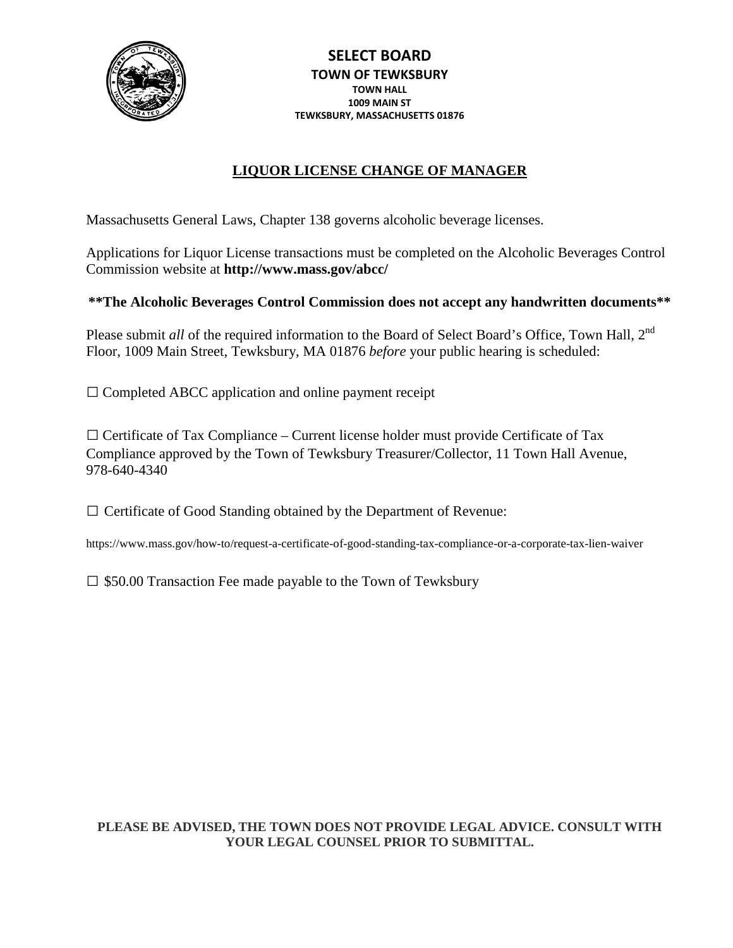

# **LIQUOR LICENSE CHANGE OF MANAGER**

Massachusetts General Laws, Chapter 138 governs alcoholic beverage licenses.

Applications for Liquor License transactions must be completed on the Alcoholic Beverages Control Commission website at **http://www.mass.gov/abcc/**

### **\*\*The Alcoholic Beverages Control Commission does not accept any handwritten documents\*\***

Please submit *all* of the required information to the Board of Select Board's Office, Town Hall, 2<sup>nd</sup> Floor, 1009 Main Street, Tewksbury, MA 01876 *before* your public hearing is scheduled:

 $\square$  Completed ABCC application and online payment receipt

 $\Box$  Certificate of Tax Compliance – Current license holder must provide Certificate of Tax Compliance approved by the Town of Tewksbury Treasurer/Collector, 11 Town Hall Avenue, 978-640-4340

 $\square$  Certificate of Good Standing obtained by the Department of Revenue:

<https://www.mass.gov/how-to/request-a-certificate-of-good-standing-tax-compliance-or-a-corporate-tax-lien-waiver>

 $\square$  \$50.00 Transaction Fee made payable to the Town of Tewksbury

### **PLEASE BE ADVISED, THE TOWN DOES NOT PROVIDE LEGAL ADVICE. CONSULT WITH YOUR LEGAL COUNSEL PRIOR TO SUBMITTAL.**